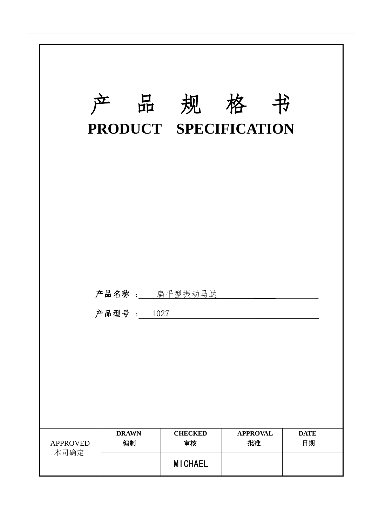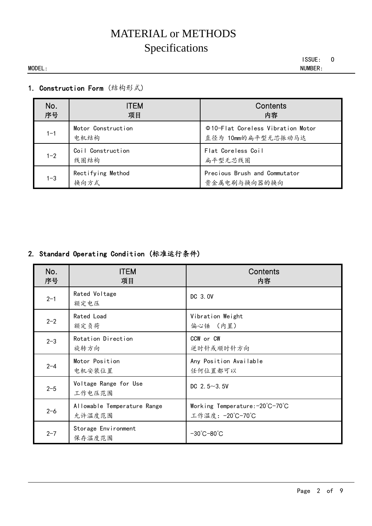ISSUE: O

MODEL: NUMBER:

1. Construction Form (结构形式)

| No.<br>序号 | <b>ITEM</b><br>项目          | <b>Contents</b><br>内容                                   |
|-----------|----------------------------|---------------------------------------------------------|
| $1 - 1$   | Motor Construction<br>电机结构 | Φ10-Flat Coreless Vibration Motor<br>直径为 10mm的扁平型无芯振动马达 |
| $1 - 2$   | Coil Construction<br>线圈结构  | Flat Coreless Coil<br>扁平型无芯线圈                           |
| $1 - 3$   | Rectifying Method<br>换向方式  | Precious Brush and Commutator<br>贵金属电刷与换向器的换向           |

### 2. Standard Operating Condition (标准运行条件)

| No.<br>序号 | <b>ITEM</b><br>项目                     | Contents<br>内容                                   |
|-----------|---------------------------------------|--------------------------------------------------|
| $2 - 1$   | Rated Voltage<br>额定电压                 | DC 3.0V                                          |
| $2 - 2$   | Rated Load<br>额定负荷                    | Vibration Weight<br>偏心锤 (内置)                     |
| $2 - 3$   | Rotation Direction<br>旋转方向            | CCW or CW<br>逆时针或顺时针方向                           |
| $2 - 4$   | Motor Position<br>电机安装位置              | Any Position Available<br>任何位置都可以                |
| $2 - 5$   | Voltage Range for Use<br>工作电压范围       | DC 2.5 $\sim$ 3.5V                               |
| $2 - 6$   | Allowable Temperature Range<br>允许温度范围 | Working Temperature:-20°C-70°C<br>工作温度: -20℃-70℃ |
| $2 - 7$   | Storage Environment<br>保存温度范围         | $-30^{\circ}$ C $-80^{\circ}$ C                  |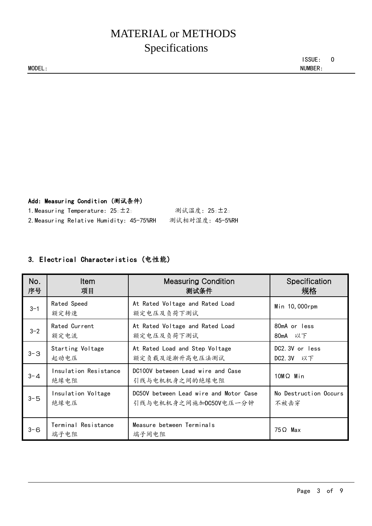ISSUE: O MODEL: NUMBER:

### Add: Measuring Condition (测试条件)

1. Measuring Temperature: 25d±2d **2000 视试温度: 25d±2**d 2.Measuring Relative Humidity: 45-75%RH 测试相对湿度: 45-5%RH

### 3. Electrical Characteristics (电性能)

| No.     | Item                          | <b>Measuring Condition</b>                          | Specification         |
|---------|-------------------------------|-----------------------------------------------------|-----------------------|
| 序号      | 项目                            | 测试条件                                                | 规格                    |
| $3 - 1$ | Rated Speed<br>额定转速           | At Rated Voltage and Rated Load<br>额定电压及负荷下测试       | Min 10,000rpm         |
| $3 - 2$ | Rated Current                 | At Rated Voltage and Rated Load                     | 80mA or less          |
|         | 额定电流                          | 额定电压及负荷下测试                                          | 80mA 以下               |
| $3 - 3$ | Starting Voltage              | At Rated Load and Step Voltage                      | DC2.3V or less        |
|         | 起动电压                          | 额定负载及逐渐升高电压法测试                                      | DC2.3V 以下             |
| $3 - 4$ | Insulation Resistance<br>绝缘电阻 | DC100V between Lead wire and Case<br>引线与电机机身之间的绝缘电阻 | $10M\Omega$ Min       |
| $3 - 5$ | Insulation Voltage            | DC50V between Lead wire and Motor Case              | No Destruction Occurs |
|         | 绝缘电压                          | 引线与电机机身之间施加DC50V电压一分钟                               | 不被击穿                  |
| $3 - 6$ | Terminal Resistance<br>端子电阻   | Measure between Terminals<br>端子间电阻                  | $75 \Omega$ Max       |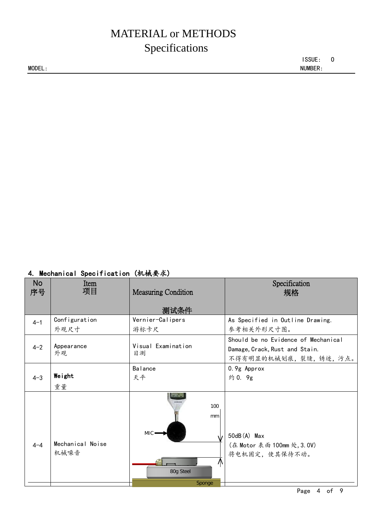ISSUE: O MODEL: NUMBER:

|  | 4. Mechanical Specification (机械要求) |  |
|--|------------------------------------|--|
|  |                                    |  |

| <b>No</b> | Item                     | <b>Measuring Condition</b>                                           | Specification                                                                                    |
|-----------|--------------------------|----------------------------------------------------------------------|--------------------------------------------------------------------------------------------------|
| 序号        | 项目                       |                                                                      | 规格                                                                                               |
|           |                          | 测试条件                                                                 |                                                                                                  |
| $4 - 1$   | Configuration            | Vernier-Calipers                                                     | As Specified in Outline Drawing.                                                                 |
|           | 外观尺寸                     | 游标卡尺                                                                 | 参考相关外形尺寸图。                                                                                       |
| $4 - 2$   | Appearance<br>外观         | Visual Examination<br>目测                                             | Should be no Evidence of Mechanical<br>Damage, Crack, Rust and Stain.<br>不得有明显的机械划痕, 裂缝, 锈迹, 污点。 |
| $4 - 3$   | Weight                   | Balance                                                              | 0.9g Approx                                                                                      |
|           | 重量                       | 天平                                                                   | 约 0. 9g                                                                                          |
| $4 - 4$   | Mechanical Noise<br>机械噪音 | $\frac{1}{2}$<br>100<br>mm<br><b>MIC</b><br>小<br>80g Steel<br>Sponge | 50dB(A) Max<br>(在 Motor 表面 100mm 处, 3.0V)<br>将电机固定,使其保待不动。                                       |

Page 4 of 9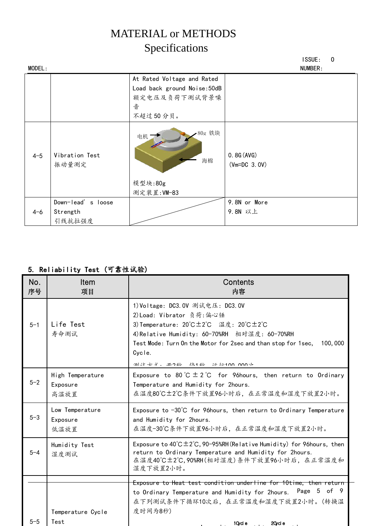ISSUE: O

| MODEL:  |                         |                                                                                  | NUMBER:                      |
|---------|-------------------------|----------------------------------------------------------------------------------|------------------------------|
|         |                         | At Rated Voltage and Rated<br>Load back ground Noise: 50dB<br>额定电压及负荷下测试背景噪<br>音 |                              |
|         |                         | 不超过50分贝。                                                                         |                              |
| $4 - 5$ | Vibration Test<br>振动量测定 | 80g 铁块<br>申机 了<br>海棉<br>模型块:80g<br>测定装置: VM-83                                   | 0.8G (AVG)<br>$(Vm=DC 3.0V)$ |
|         | Down-lead's loose       |                                                                                  | 9.8N or More                 |
| $4 - 6$ | Strength                |                                                                                  | 9.8N 以上                      |
|         | 引线抗拉强度                  |                                                                                  |                              |

### 5. Reliability Test (可靠性试验)

| No.<br>序号 | Item<br>项目                           | Contents<br>内容                                                                                                                                                                                                                                                               |
|-----------|--------------------------------------|------------------------------------------------------------------------------------------------------------------------------------------------------------------------------------------------------------------------------------------------------------------------------|
| $5 - 1$   | Life Test<br>寿命测试                    | 1) Voltage: DC3. 0V 测试电压: DC3. 0V<br>2) Load: Vibrator 负荷:偏心锤<br>3) Temperature: 20°C±2°C 温度: 20°C±2°C<br>4)Relative Humidity: 60-70%RH 相对湿度: 60-70%RH<br>100,000<br>Test Mode: Turn On the Motor for 2sec and than stop for 1sec,<br>Cycle.<br>测决云芒, 工9孙 - 信1孙 - 泛仁100-000克 |
| $5 - 2$   | High Temperature<br>Exposure<br>高温放置 | Exposure to 80 $\degree$ C $\pm$ 2 $\degree$ C for 96 hours, then return to Ordinary<br>Temperature and Humidity for 2hours.<br>在温度80℃±2℃条件下放置96小时后,在正常温度和湿度下放置2小时。                                                                                                          |
| $5 - 3$   | Low Temperature<br>Exposure<br>低温放置  | Exposure to -30°C for 96hours, then return to Ordinary Temperature<br>and Humidity for 2hours.<br>在温度-30℃条件下放置96小时后,在正常温度和湿度下放置2小时。                                                                                                                                          |
| $5 - 4$   | Humidity Test<br>湿度测试                | Exposure to $40^{\circ}$ C $\pm$ 2 $^{\circ}$ C, 90-95%RH (Relative Humidity) for 96hours, then<br>return to Ordinary Temperature and Humidity for 2hours.<br>在温度40℃±2℃,90%RH(相对湿度)条件下放置96小时后, 在正常温度和<br>湿度下放置2小时。                                                           |
|           |                                      | Exposure to Heat test condition underline for 10time, then return                                                                                                                                                                                                            |
|           | Temperature Cycle                    | Page 5 of 9<br>to Ordinary Temperature and Humidity for 2hours.<br>在下列测试条件下循环10次后, 在正常温度和湿度下放置2小时。(转换温<br>度时间为8秒)                                                                                                                                                            |
| $5 - 5$   | Test                                 | 10yde .<br>20yd e<br>the contract of the contract of the                                                                                                                                                                                                                     |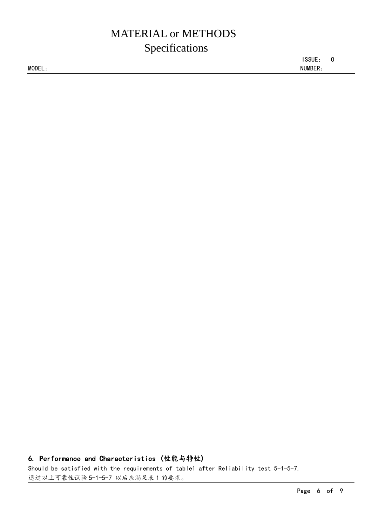ISSUE: O MODEL: NUMBER:

### 6. Performance and Characteristics (性能与特性)

Should be satisfied with the requirements of table1 after Reliability test 5-1-5-7. 通过以上可靠性试验 5-1-5-7 以后应满足表 1 的要求。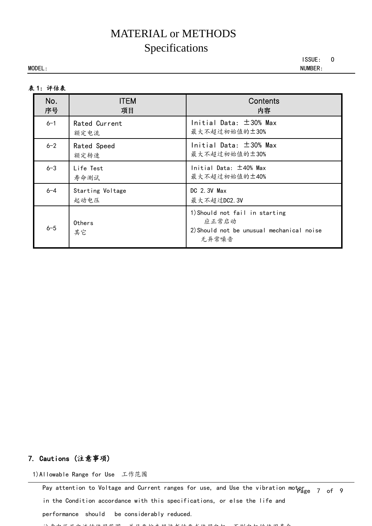ISSUE: O MODEL: NUMBER:

#### 表 1: 评估表

| No.<br>序号 | <b>ITEM</b><br>项目        | Contents<br>内容                                                                                |
|-----------|--------------------------|-----------------------------------------------------------------------------------------------|
| $6 - 1$   | Rated Current<br>额定电流    | Initial Data: ±30% Max<br>最大不超过初始值的士30%                                                       |
| $6 - 2$   | Rated Speed<br>额定转速      | Initial Data: ±30% Max<br>最大不超过初始值的士30%                                                       |
| $6 - 3$   | Life Test<br>寿命测试        | Initial Data: $\pm 40\%$ Max<br>最大不超过初始值的士40%                                                 |
| $6 - 4$   | Starting Voltage<br>起动电压 | DC 2.3V Max<br>最大不超过DC2.3V                                                                    |
| $6 - 5$   | Others<br>其它             | 1) Should not fail in starting<br>应正常启动<br>2) Should not be unusual mechanical noise<br>无异常噪音 |

### 7. Cautions (注意事项)

1)Allowable Range for Use 工作范围

Pay attention to Voltage and Current ranges for use, and Use the vibration motor  $_{\rm{age}}$   $_{\rm{7}}$  of  $_{\rm{9}}$  in the Condition accordance with this specifications, or else the life and performance should be considerably reduced.  $\alpha$   $\rightarrow$   $\alpha$   $\rightarrow$   $\alpha$   $\rightarrow$   $\alpha$   $\rightarrow$   $\alpha$   $\rightarrow$   $\alpha$   $\rightarrow$   $\alpha$   $\rightarrow$   $\alpha$   $\rightarrow$   $\alpha$   $\rightarrow$   $\alpha$   $\rightarrow$   $\alpha$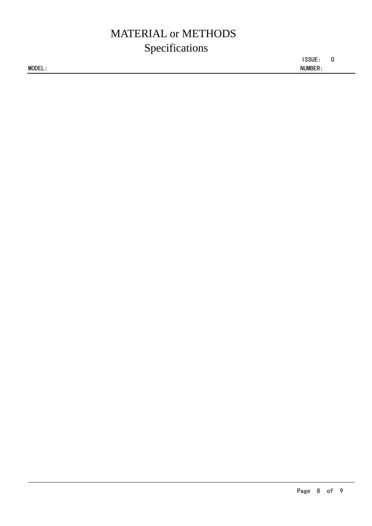ISSUE: O MODEL: NUMBER: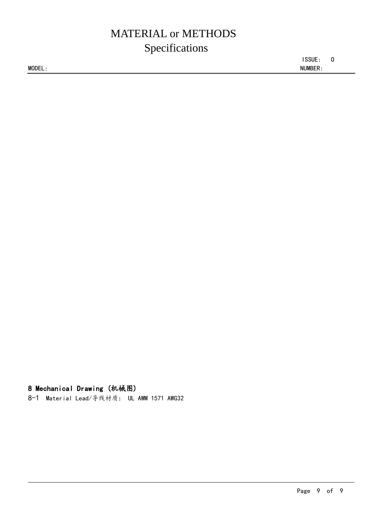ISSUE: O MODEL: NUMBER:

### 8 Mechanical Drawing (机械图)

8-1 Material Lead/导线材质: UL AWM 1571 AWG32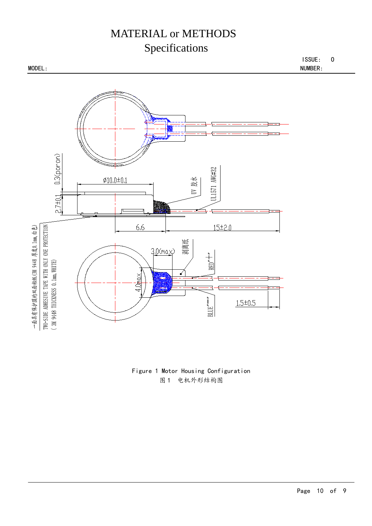

Figure 1 Motor Housing Configuration 图 1 电机外形结构图